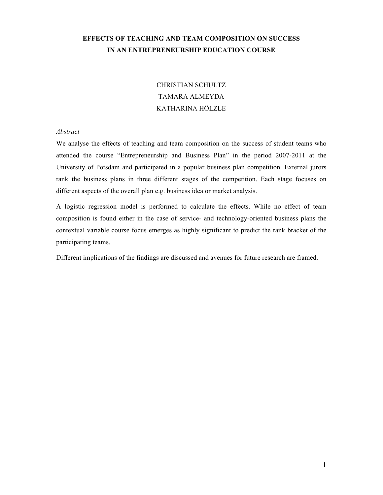# **EFFECTS OF TEACHING AND TEAM COMPOSITION ON SUCCESS IN AN ENTREPRENEURSHIP EDUCATION COURSE**

# CHRISTIAN SCHULTZ TAMARA ALMEYDA KATHARINA HÖLZLE

# *Abstract*

We analyse the effects of teaching and team composition on the success of student teams who attended the course "Entrepreneurship and Business Plan" in the period 2007-2011 at the University of Potsdam and participated in a popular business plan competition. External jurors rank the business plans in three different stages of the competition. Each stage focuses on different aspects of the overall plan e.g. business idea or market analysis.

A logistic regression model is performed to calculate the effects. While no effect of team composition is found either in the case of service- and technology-oriented business plans the contextual variable course focus emerges as highly significant to predict the rank bracket of the participating teams.

Different implications of the findings are discussed and avenues for future research are framed.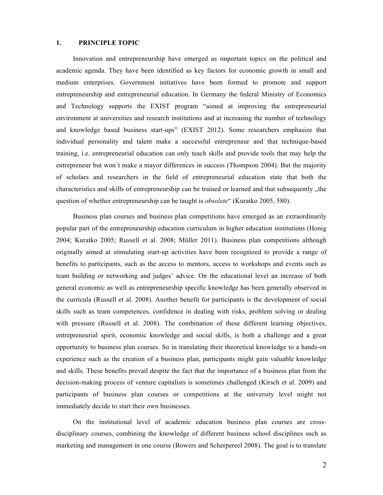# **1. PRINCIPLE TOPIC**

Innovation and entrepreneurship have emerged as important topics on the political and academic agenda. They have been identified as key factors for economic growth in small and medium enterprises. Government initiatives have been formed to promote and support entrepreneurship and entrepreneurial education. In Germany the federal Ministry of Economics and Technology supports the EXIST program "aimed at improving the entrepreneurial environment at universities and research institutions and at increasing the number of technology and knowledge based business start-ups" (EXIST 2012). Some researchers emphasize that individual personality and talent make a successful entrepreneur and that technique-based training, i.e. entrepreneurial education can only teach skills and provide tools that may help the entrepreneur but won´t make a mayor differences in success (Thompson 2004). But the majority of scholars and researchers in the field of entrepreneurial education state that both the characteristics and skills of entrepreneurship can be trained or learned and that subsequently "the question of whether entrepreneurship can be taught is *obsolete*" (Kuratko 2005, 580).

Business plan courses and business plan competitions have emerged as an extraordinarily popular part of the entrepreneurship education curriculum in higher education institutions (Honig 2004; Kuratko 2005; Russell et al. 2008; Müller 2011). Business plan competitions although originally aimed at stimulating start-up activities have been recognized to provide a range of benefits to participants, such as the access to mentors, access to workshops and events such as team building or networking and judges' advice. On the educational level an increase of both general economic as well as entrepreneurship specific knowledge has been generally observed in the curricula (Russell et al. 2008). Another benefit for participants is the development of social skills such as team competences, confidence in dealing with risks, problem solving or dealing with pressure (Russell et al. 2008). The combination of these different learning objectives, entrepreneurial spirit, economic knowledge and social skills, is both a challenge and a great opportunity to business plan courses. So in translating their theoretical knowledge to a hands-on experience such as the creation of a business plan, participants might gain valuable knowledge and skills. These benefits prevail despite the fact that the importance of a business plan from the decision-making process of venture capitalists is sometimes challenged (Kirsch et al. 2009) and participants of business plan courses or competitions at the university level might not immediately decide to start their own businesses.

On the institutional level of academic education business plan courses are crossdisciplinary courses, combining the knowledge of different business school disciplines such as marketing and management in one course (Bowers and Scherpereel 2008). The goal is to translate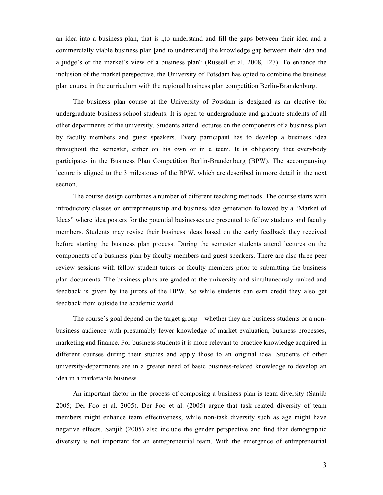an idea into a business plan, that is "to understand and fill the gaps between their idea and a commercially viable business plan [and to understand] the knowledge gap between their idea and a judge's or the market's view of a business plan" (Russell et al. 2008, 127). To enhance the inclusion of the market perspective, the University of Potsdam has opted to combine the business plan course in the curriculum with the regional business plan competition Berlin-Brandenburg.

The business plan course at the University of Potsdam is designed as an elective for undergraduate business school students. It is open to undergraduate and graduate students of all other departments of the university. Students attend lectures on the components of a business plan by faculty members and guest speakers. Every participant has to develop a business idea throughout the semester, either on his own or in a team. It is obligatory that everybody participates in the Business Plan Competition Berlin-Brandenburg (BPW). The accompanying lecture is aligned to the 3 milestones of the BPW, which are described in more detail in the next section.

The course design combines a number of different teaching methods. The course starts with introductory classes on entrepreneurship and business idea generation followed by a "Market of Ideas" where idea posters for the potential businesses are presented to fellow students and faculty members. Students may revise their business ideas based on the early feedback they received before starting the business plan process. During the semester students attend lectures on the components of a business plan by faculty members and guest speakers. There are also three peer review sessions with fellow student tutors or faculty members prior to submitting the business plan documents. The business plans are graded at the university and simultaneously ranked and feedback is given by the jurors of the BPW. So while students can earn credit they also get feedback from outside the academic world.

The course´s goal depend on the target group – whether they are business students or a nonbusiness audience with presumably fewer knowledge of market evaluation, business processes, marketing and finance. For business students it is more relevant to practice knowledge acquired in different courses during their studies and apply those to an original idea. Students of other university-departments are in a greater need of basic business-related knowledge to develop an idea in a marketable business.

An important factor in the process of composing a business plan is team diversity (Sanjib 2005; Der Foo et al. 2005). Der Foo et al. (2005) argue that task related diversity of team members might enhance team effectiveness, while non-task diversity such as age might have negative effects. Sanjib (2005) also include the gender perspective and find that demographic diversity is not important for an entrepreneurial team. With the emergence of entrepreneurial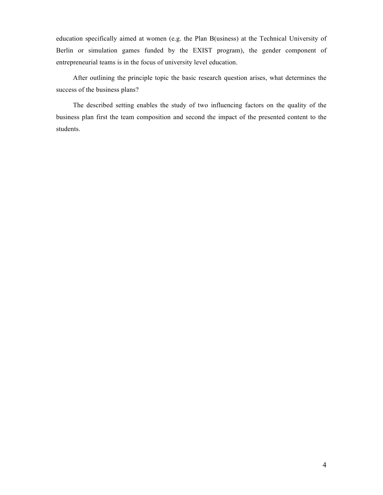education specifically aimed at women (e.g. the Plan B(usiness) at the Technical University of Berlin or simulation games funded by the EXIST program), the gender component of entrepreneurial teams is in the focus of university level education.

After outlining the principle topic the basic research question arises, what determines the success of the business plans?

The described setting enables the study of two influencing factors on the quality of the business plan first the team composition and second the impact of the presented content to the students.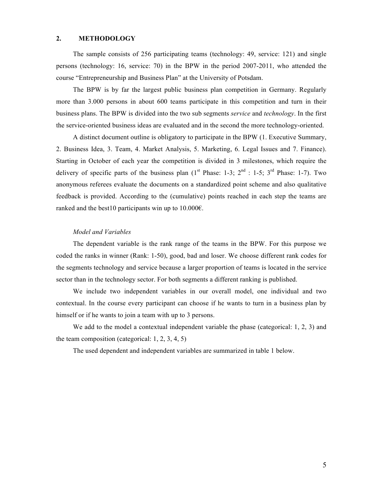### **2. METHODOLOGY**

The sample consists of 256 participating teams (technology: 49, service: 121) and single persons (technology: 16, service: 70) in the BPW in the period 2007-2011, who attended the course "Entrepreneurship and Business Plan" at the University of Potsdam.

The BPW is by far the largest public business plan competition in Germany. Regularly more than 3.000 persons in about 600 teams participate in this competition and turn in their business plans. The BPW is divided into the two sub segments *service* and *technology*. In the first the service-oriented business ideas are evaluated and in the second the more technology-oriented.

A distinct document outline is obligatory to participate in the BPW (1. Executive Summary, 2. Business Idea, 3. Team, 4. Market Analysis, 5. Marketing, 6. Legal Issues and 7. Finance). Starting in October of each year the competition is divided in 3 milestones, which require the delivery of specific parts of the business plan  $(1^{st}$  Phase:  $1-3$ ;  $2^{nd}$  :  $1-5$ ;  $3^{rd}$  Phase:  $1-7$ ). Two anonymous referees evaluate the documents on a standardized point scheme and also qualitative feedback is provided. According to the (cumulative) points reached in each step the teams are ranked and the best10 participants win up to  $10.000 \epsilon$ .

#### *Model and Variables*

The dependent variable is the rank range of the teams in the BPW. For this purpose we coded the ranks in winner (Rank: 1-50), good, bad and loser. We choose different rank codes for the segments technology and service because a larger proportion of teams is located in the service sector than in the technology sector. For both segments a different ranking is published.

We include two independent variables in our overall model, one individual and two contextual. In the course every participant can choose if he wants to turn in a business plan by himself or if he wants to join a team with up to 3 persons.

We add to the model a contextual independent variable the phase (categorical: 1, 2, 3) and the team composition (categorical:  $1, 2, 3, 4, 5$ )

The used dependent and independent variables are summarized in table 1 below.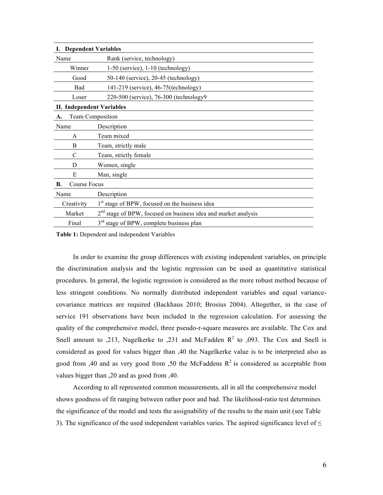| <b>Dependent Variables</b><br>L. |                                                                  |
|----------------------------------|------------------------------------------------------------------|
| Name                             | Rank (service, technology)                                       |
| Winner                           | $1-50$ (service), $1-10$ (technology)                            |
| Good                             | 50-140 (service), 20-45 (technology)                             |
| Bad                              | 141-219 (service), 46-75(technology)                             |
| Loser                            | 220-500 (service), 76-300 (technology9)                          |
| <b>II. Independent Variables</b> |                                                                  |
| <b>Team Composition</b><br>A.    |                                                                  |
| Name                             | Description                                                      |
| A                                | Team mixed                                                       |
| B                                | Team, strictly male                                              |
| C                                | Team, strictly female                                            |
| D                                | Women, single                                                    |
| E                                | Man, single                                                      |
| Course Focus<br>В.               |                                                                  |
| Name                             | Description                                                      |
| Creativity                       | 1 <sup>st</sup> stage of BPW, focused on the business idea       |
| Market                           | $2nd$ stage of BPW, focused on business idea and market analysis |
| Final                            | 3 <sup>rd</sup> stage of BPW, complete business plan             |

**Table 1:** Dependent and independent Variables

In order to examine the group differences with existing independent variables, on principle the discrimination analysis and the logistic regression can be used as quantitative statistical procedures. In general, the logistic regression is considered as the more robust method because of less stringent conditions. No normally distributed independent variables and equal variancecovariance matrices are required (Backhaus 2010; Brosius 2004). Altogether, in the case of service 191 observations have been included in the regression calculation. For assessing the quality of the comprehensive model, three pseudo-r-square measures are available. The Cox and Snell amount to  $0.213$ , Nagelkerke to  $0.231$  and McFadden R<sup>2</sup> to  $0.093$ . The Cox and Snell is considered as good for values bigger than ,40 the Nagelkerke value is to be interpreted also as good from ,40 and as very good from ,50 the McFaddens  $R^2$  is considered as acceptable from values bigger than ,20 and as good from ,40.

According to all represented common measurements, all in all the comprehensive model shows goodness of fit ranging between rather poor and bad. The likelihood-ratio test determines the significance of the model and tests the assignability of the results to the main unit (see Table 3). The significance of the used independent variables varies. The aspired significance level of  $\leq$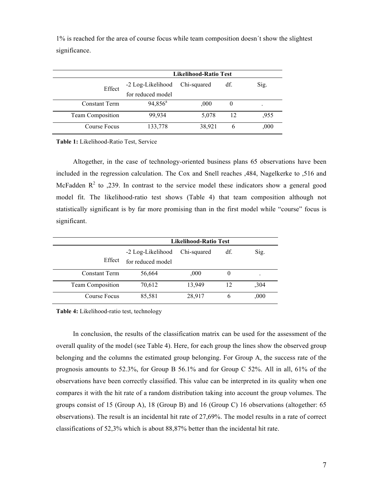1% is reached for the area of course focus while team composition doesn´t show the slightest significance.

|                      | <b>Likelihood-Ratio Test</b> |             |          |       |  |  |
|----------------------|------------------------------|-------------|----------|-------|--|--|
| Effect               | -2 Log-Likelihood            | Chi-squared | df.      | Sig.  |  |  |
|                      | for reduced model            |             |          |       |  |  |
| <b>Constant Term</b> | $94,856^a$                   | ,000        | $\theta$ |       |  |  |
| Team Composition     | 99,934                       | 5,078       | 12       | .955  |  |  |
| Course Focus         | 133,778                      | 38,921      | 6        | ,000, |  |  |

**Table 1:** Likelihood-Ratio Test, Service

Altogether, in the case of technology-oriented business plans 65 observations have been included in the regression calculation. The Cox and Snell reaches ,484, Nagelkerke to ,516 and McFadden  $R^2$  to ,239. In contrast to the service model these indicators show a general good model fit. The likelihood-ratio test shows (Table 4) that team composition although not statistically significant is by far more promising than in the first model while "course" focus is significant.

|                         | <b>Likelihood-Ratio Test</b>           |             |     |      |  |  |
|-------------------------|----------------------------------------|-------------|-----|------|--|--|
| Effect                  | -2 Log-Likelihood<br>for reduced model | Chi-squared | df. | Sig. |  |  |
| <b>Constant Term</b>    | 56,664                                 | .000.       |     | ٠    |  |  |
| <b>Team Composition</b> | 70,612                                 | 13,949      | 12  | ,304 |  |  |
| Course Focus            | 85,581                                 | 28,917      | 6   | ,000 |  |  |

**Table 4:** Likelihood-ratio test, technology

In conclusion, the results of the classification matrix can be used for the assessment of the overall quality of the model (see Table 4). Here, for each group the lines show the observed group belonging and the columns the estimated group belonging. For Group A, the success rate of the prognosis amounts to 52.3%, for Group B 56.1% and for Group C 52%. All in all, 61% of the observations have been correctly classified. This value can be interpreted in its quality when one compares it with the hit rate of a random distribution taking into account the group volumes. The groups consist of 15 (Group A), 18 (Group B) and 16 (Group C) 16 observations (altogether: 65 observations). The result is an incidental hit rate of 27,69%. The model results in a rate of correct classifications of 52,3% which is about 88,87% better than the incidental hit rate.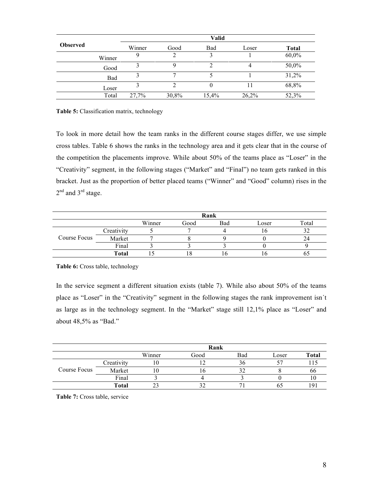|                 |        | <b>Valid</b> |       |       |       |              |  |
|-----------------|--------|--------------|-------|-------|-------|--------------|--|
| <b>Observed</b> |        | Winner       | Good  | Bad   | Loser | <b>Total</b> |  |
|                 | Winner |              | 2     |       |       | 60,0%        |  |
|                 | Good   |              |       |       |       | 50,0%        |  |
|                 | Bad    |              |       |       |       | 31,2%        |  |
|                 | Loser  |              |       | O     |       | 68,8%        |  |
|                 | Total  | 27,7%        | 30,8% | 15,4% | 26,2% | 52,3%        |  |

**Table 5:** Classification matrix, technology

To look in more detail how the team ranks in the different course stages differ, we use simple cross tables. Table 6 shows the ranks in the technology area and it gets clear that in the course of the competition the placements improve. While about 50% of the teams place as "Loser" in the "Creativity" segment, in the following stages ("Market" and "Final") no team gets ranked in this bracket. Just as the proportion of better placed teams ("Winner" and "Good" column) rises in the 2<sup>nd</sup> and 3<sup>rd</sup> stage.

|              |              | Rank   |      |     |       |       |
|--------------|--------------|--------|------|-----|-------|-------|
|              |              | Winner | Good | Bad | Loser | Total |
| Course Focus | Creativity   |        |      |     |       |       |
|              | Market       |        |      |     |       |       |
|              | Final        |        |      |     |       |       |
|              | <b>Total</b> |        |      |     |       |       |

#### **Table 6:** Cross table, technology

In the service segment a different situation exists (table 7). While also about 50% of the teams place as "Loser" in the "Creativity" segment in the following stages the rank improvement isn´t as large as in the technology segment. In the "Market" stage still 12,1% place as "Loser" and about 48,5% as "Bad."

|              |              | Rank   |      |     |       |              |
|--------------|--------------|--------|------|-----|-------|--------------|
|              |              | Winner | Good | Bad | Loser | <b>Total</b> |
| Course Focus | Creativity   | ΙU     |      | 36  |       |              |
|              | Market       | LU     | 10   |     |       | oo           |
|              | Final        |        |      |     |       |              |
|              | <b>Total</b> |        |      |     |       |              |

**Table 7:** Cross table, service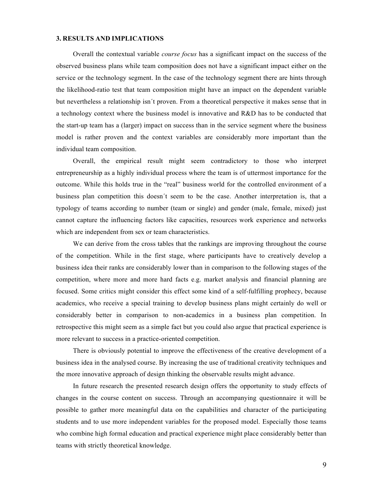#### **3. RESULTS AND IMPLICATIONS**

Overall the contextual variable *course focus* has a significant impact on the success of the observed business plans while team composition does not have a significant impact either on the service or the technology segment. In the case of the technology segment there are hints through the likelihood-ratio test that team composition might have an impact on the dependent variable but nevertheless a relationship isn´t proven. From a theoretical perspective it makes sense that in a technology context where the business model is innovative and R&D has to be conducted that the start-up team has a (larger) impact on success than in the service segment where the business model is rather proven and the context variables are considerably more important than the individual team composition.

Overall, the empirical result might seem contradictory to those who interpret entrepreneurship as a highly individual process where the team is of uttermost importance for the outcome. While this holds true in the "real" business world for the controlled environment of a business plan competition this doesn´t seem to be the case. Another interpretation is, that a typology of teams according to number (team or single) and gender (male, female, mixed) just cannot capture the influencing factors like capacities, resources work experience and networks which are independent from sex or team characteristics.

We can derive from the cross tables that the rankings are improving throughout the course of the competition. While in the first stage, where participants have to creatively develop a business idea their ranks are considerably lower than in comparison to the following stages of the competition, where more and more hard facts e.g. market analysis and financial planning are focused. Some critics might consider this effect some kind of a self-fulfilling prophecy, because academics, who receive a special training to develop business plans might certainly do well or considerably better in comparison to non-academics in a business plan competition. In retrospective this might seem as a simple fact but you could also argue that practical experience is more relevant to success in a practice-oriented competition.

There is obviously potential to improve the effectiveness of the creative development of a business idea in the analysed course. By increasing the use of traditional creativity techniques and the more innovative approach of design thinking the observable results might advance.

In future research the presented research design offers the opportunity to study effects of changes in the course content on success. Through an accompanying questionnaire it will be possible to gather more meaningful data on the capabilities and character of the participating students and to use more independent variables for the proposed model. Especially those teams who combine high formal education and practical experience might place considerably better than teams with strictly theoretical knowledge.